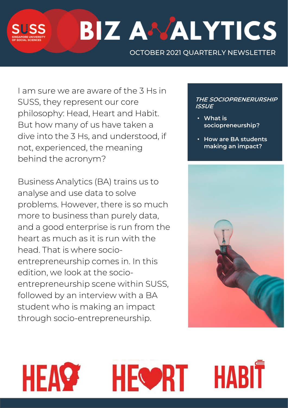

HEA

# **BIZ ANALYTICS**

OCTOBER 2021 QUARTERLY NEWSLETTER

I am sure we are aware of the 3 Hs in SUSS, they represent our core philosophy: Head, Heart and Habit. But how many of us have taken a dive into the 3 Hs, and understood, if not, experienced, the meaning behind the acronym?

Business Analytics (BA) trains us to analyse and use data to solve problems. However, there is so much more to business than purely data, and a good enterprise is run from the heart as much as it is run with the head. That is where socioentrepreneurship comes in. In this edition, we look at the socioentrepreneurship scene within SUSS, followed by an interview with a BA student who is making an impact through socio-entrepreneurship.

#### **THE SOCIOPRENERURSHIP ISSUE**

- **What is sociopreneurship?**
- **How are BA students making an impact?**



HABIT

**HEOPRT**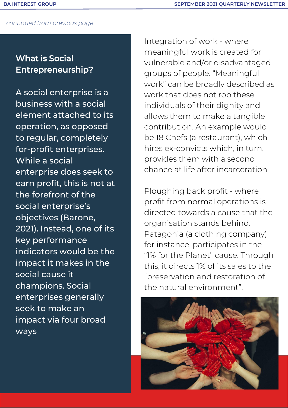# What is Social Entrepreneurship?

A social enterprise is a business with a social element attached to its operation, as opposed to regular, completely for-profit enterprises. While a social enterprise does seek to earn profit, this is not at the forefront of the social enterprise's objectives (Barone, 2021). Instead, one of its key performance indicators would be the impact it makes in the social cause it champions. Social enterprises generally seek to make an impact via four broad ways

Integration of work - where meaningful work is created for vulnerable and/or disadvantaged groups of people. "Meaningful work" can be broadly described as work that does not rob these individuals of their dignity and allows them to make a tangible contribution. An example would be 18 Chefs (a restaurant), which hires ex-convicts which, in turn, provides them with a second chance at life after incarceration.

Ploughing back profit - where profit from normal operations is directed towards a cause that the organisation stands behind. Patagonia (a clothing company) for instance, participates in the "1% for the Planet" cause. Through this, it directs 1% of its sales to the "preservation and restoration of the natural environment".

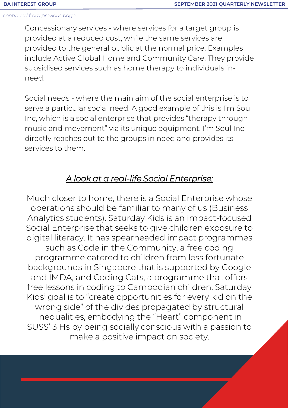Concessionary services - where services for a target group is provided at a reduced cost, while the same services are provided to the general public at the normal price. Examples include Active Global Home and Community Care. They provide subsidised services such as home therapy to individuals inneed.

Social needs - where the main aim of the social enterprise is to serve a particular social need. A good example of this is I'm Soul Inc, which is a social enterprise that provides "therapy through music and movement" via its unique equipment. I'm Soul Inc directly reaches out to the groups in need and provides its services to them.

## *A look at a real-life Social Enterprise:*

Much closer to home, there is a Social Enterprise whose operations should be familiar to many of us (Business Analytics students). Saturday Kids is an impact-focused Social Enterprise that seeks to give children exposure to digital literacy. It has spearheaded impact programmes such as Code in the Community, a free coding programme catered to children from less fortunate backgrounds in Singapore that is supported by Google and IMDA, and Coding Cats, a programme that offers free lessons in coding to Cambodian children. Saturday Kids' goal is to "create opportunities for every kid on the wrong side" of the divides propagated by structural inequalities, embodying the "Heart" component in SUSS' 3 Hs by being socially conscious with a passion to make a positive impact on society.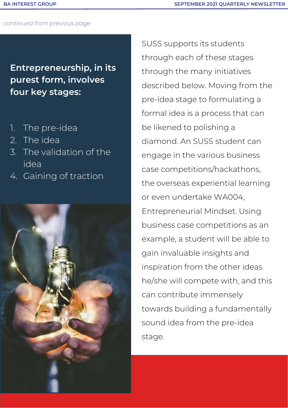**Entrepreneurship, in its purest form, involves four key stages:** 

- 1. The pre-idea
- 2. The idea
- 3. The validation of the idea
- 4. Gaining of traction



SUSS supports its students through each of these stages through the many initiatives described below. Moving from the pre-idea stage to formulating a formal idea is a process that can be likened to polishing a diamond. An SUSS student can engage in the various business case competitions/hackathons, the overseas experiential learning or even undertake WA004, Entrepreneurial Mindset. Using business case competitions as an example, a student will be able to gain invaluable insights and inspiration from the other ideas he/she will compete with, and this can contribute immensely towards building a fundamentally sound idea from the pre-idea stage.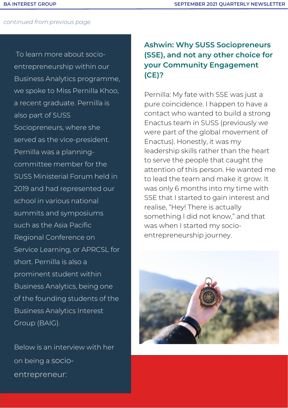To learn more about socioentrepreneurship within our Business Analytics programme, we spoke to Miss Pernilla Khoo, a recent graduate. Pernilla is also part of SUSS Sociopreneurs, where she served as the vice-president. Pernilla was a planningcommittee member for the SUSS Ministerial Forum held in 2019 and had represented our school in various national summits and symposiums such as the Asia Pacific Regional Conference on Service Learning, or APRCSL for short. Pernilla is also a prominent student within Business Analytics, being one of the founding students of the Business Analytics Interest Group (BAIG).

Below is an interview with her on being a socioentrepreneur:

## **Ashwin: Why SUSS Sociopreneurs (SSE), and not any other choice for your Community Engagement (CE)?**

Pernilla: My fate with SSE was just a pure coincidence. I happen to have a contact who wanted to build a strong Enactus team in SUSS (previously we were part of the global movement of Enactus). Honestly, it was my leadership skills rather than the heart to serve the people that caught the attention of this person. He wanted me to lead the team and make it grow. It was only 6 months into my time with SSE that I started to gain interest and realise, "Hey! There is actually something I did not know," and that was when I started my socioentrepreneurship journey.

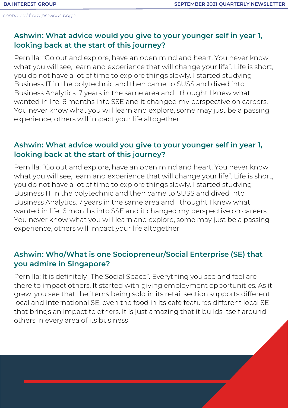## **Ashwin: What advice would you give to your younger self in year 1, looking back at the start of this journey?**

Pernilla: "Go out and explore, have an open mind and heart. You never know what you will see, learn and experience that will change your life". Life is short, you do not have a lot of time to explore things slowly. I started studying Business IT in the polytechnic and then came to SUSS and dived into Business Analytics. 7 years in the same area and I thought I knew what I wanted in life. 6 months into SSE and it changed my perspective on careers. You never know what you will learn and explore, some may just be a passing experience, others will impact your life altogether.

## **Ashwin: What advice would you give to your younger self in year 1, looking back at the start of this journey?**

Pernilla: "Go out and explore, have an open mind and heart. You never know what you will see, learn and experience that will change your life". Life is short, you do not have a lot of time to explore things slowly. I started studying Business IT in the polytechnic and then came to SUSS and dived into Business Analytics. 7 years in the same area and I thought I knew what I wanted in life. 6 months into SSE and it changed my perspective on careers. You never know what you will learn and explore, some may just be a passing experience, others will impact your life altogether.

## **Ashwin: Who/What is one Sociopreneur/Social Enterprise (SE) that you admire in Singapore?**

Pernilla: It is definitely "The Social Space". Everything you see and feel are there to impact others. It started with giving employment opportunities. As it grew, you see that the items being sold in its retail section supports different local and international SE, even the food in its café features different local SE that brings an impact to others. It is just amazing that it builds itself around others in every area of its business